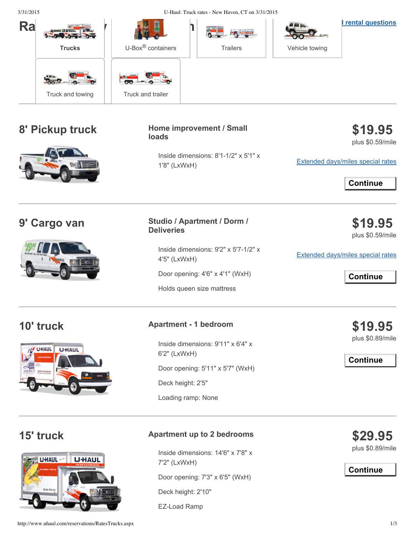| 3/31/2015                    |                  | U-Haul: Truck rates - New Haven, CT on 3/31/2015                                          |                                                                                                      |                                                                                            |                                                             |
|------------------------------|------------------|-------------------------------------------------------------------------------------------|------------------------------------------------------------------------------------------------------|--------------------------------------------------------------------------------------------|-------------------------------------------------------------|
| Ra                           | <b>Trucks</b>    | $U$ -Box $^{\circledR}$ containers                                                        | <b>Trailers</b>                                                                                      | Vehicle towing                                                                             | <b>I</b> rental questions                                   |
|                              | Truck and towing | Truck and trailer                                                                         |                                                                                                      |                                                                                            |                                                             |
| 8' Pickup truck              |                  | Home improvement / Small<br>loads<br>Inside dimensions: 8'1-1/2" x 5'1" x<br>1'8" (LxWxH) |                                                                                                      | \$19.95<br>plus \$0.59/mile<br><b>Extended days/miles special rates</b><br><b>Continue</b> |                                                             |
| 9' Cargo van                 |                  | <b>Studio / Apartment / Dorm /</b><br><b>Deliveries</b>                                   |                                                                                                      |                                                                                            | \$19.95<br>plus \$0.59/mile                                 |
|                              |                  | 4'5" (LxWxH)                                                                              | Inside dimensions: 9'2" x 5'7-1/2" x<br>Door opening: 4'6" x 4'1" (WxH)<br>Holds queen size mattress |                                                                                            | <b>Extended days/miles special rates</b><br><b>Continue</b> |
| 10' truck                    |                  | <b>Apartment - 1 bedroom</b>                                                              |                                                                                                      |                                                                                            | \$19.95                                                     |
| <b>U</b> HAUL<br><b>HAUL</b> |                  | Inside dimensions: 9'11" x 6'4" x<br>6'2" (LxWxH)                                         |                                                                                                      | plus \$0.89/mile<br><b>Continue</b>                                                        |                                                             |
|                              |                  | Door opening: 5'11" x 5'7" (WxH)                                                          |                                                                                                      |                                                                                            |                                                             |
|                              |                  | Deck height: 2'5"<br>Loading ramp: None                                                   |                                                                                                      |                                                                                            |                                                             |
|                              |                  |                                                                                           |                                                                                                      |                                                                                            |                                                             |



## **15' truck Apartment up to <sup>2</sup> bedrooms**

Inside dimensions: 14'6" x 7'8" x 7'2" (LxWxH)

Door opening: 7'3" x 6'5" (WxH)

Deck height: 2'10"

EZ-Load Ramp

**\$29.95** plus \$0.89/mile

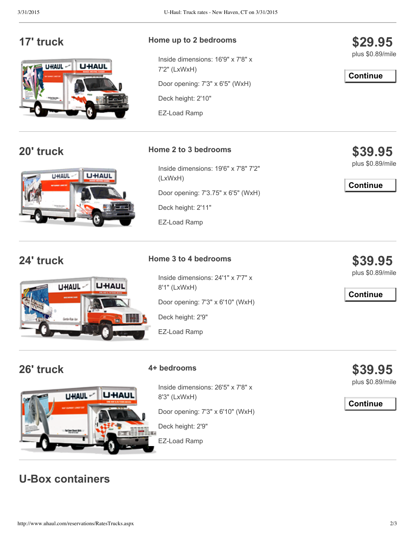

## **17' truck Home up to <sup>2</sup> bedrooms**

Inside dimensions: 16'9" x 7'8" x 7'2" (LxWxH) Door opening: 7'3" x 6'5" (WxH) Deck height: 2'10"

EZ-Load Ramp

# **20' truck Home <sup>2</sup> to <sup>3</sup> bedrooms**





 $U$ HAUL $-$ 

Inside dimensions: 19'6" x 7'8" 7'2" (LxWxH) Door opening: 7'3.75" x 6'5" (WxH) Deck height: 2'11" EZ-Load Ramp

## **24' truck Home <sup>3</sup> to <sup>4</sup> bedrooms**

Inside dimensions: 24'1" x 7'7" x 8'1" (LxWxH)

Door opening: 7'3" x 6'10" (WxH)

Deck height: 2'9"

EZ-Load Ramp

**U**HAUI

## **26' truck 4+ bedrooms**

Inside dimensions: 26'5" x 7'8" x 8'3" (LxWxH)

Door opening: 7'3" x 6'10" (WxH)

Deck height: 2'9"

EZ-Load Ramp

**\$39.95**

plus \$0.89/mile

**Continue**



**\$39.95**

**\$29.95** plus \$0.89/mile

**Continue**

plus \$0.89/mile

**Continue**

**\$39.95** plus \$0.89/mile

**Continue**